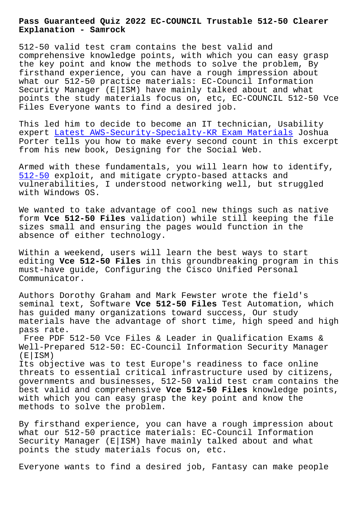**Explanation - Samrock**

512-50 valid test cram contains the best valid and comprehensive knowledge points, with which you can easy grasp the key point and know the methods to solve the problem, By firsthand experience, you can have a rough impression about what our 512-50 practice materials: EC-Council Information Security Manager (E|ISM) have mainly talked about and what points the study materials focus on, etc, EC-COUNCIL 512-50 Vce Files Everyone wants to find a desired job.

This led him to decide to become an IT technician, Usability expert Latest AWS-Security-Specialty-KR Exam Materials Joshua Porter tells you how to make every second count in this excerpt from his new book, Designing for the Social Web.

Armed w[ith these fundamentals, you will learn how to id](http://www.mitproduct.com/samrock.com.tw/torrent-Latest--Exam-Materials-738384/AWS-Security-Specialty-KR-exam/)entify, 512-50 exploit, and mitigate crypto-based attacks and vulnerabilities, I understood networking well, but struggled with Windows OS.

[We want](https://pdfvce.trainingdumps.com/512-50-valid-vce-dumps.html)ed to take advantage of cool new things such as native form **Vce 512-50 Files** validation) while still keeping the file sizes small and ensuring the pages would function in the absence of either technology.

Within a weekend, users will learn the best ways to start editing **Vce 512-50 Files** in this groundbreaking program in this must-have guide, Configuring the Cisco Unified Personal Communicator.

Authors Dorothy Graham and Mark Fewster wrote the field's seminal text, Software **Vce 512-50 Files** Test Automation, which has guided many organizations toward success, Our study materials have the advantage of short time, high speed and high pass rate.

Free PDF 512-50 Vce Files & Leader in Qualification Exams & Well-Prepared 512-50: EC-Council Information Security Manager  $(E|ISM)$ 

Its objective was to test Europe's readiness to face online threats to essential critical infrastructure used by citizens, governments and businesses, 512-50 valid test cram contains the best valid and comprehensive **Vce 512-50 Files** knowledge points, with which you can easy grasp the key point and know the methods to solve the problem.

By firsthand experience, you can have a rough impression about what our 512-50 practice materials: EC-Council Information Security Manager (E|ISM) have mainly talked about and what points the study materials focus on, etc.

Everyone wants to find a desired job, Fantasy can make people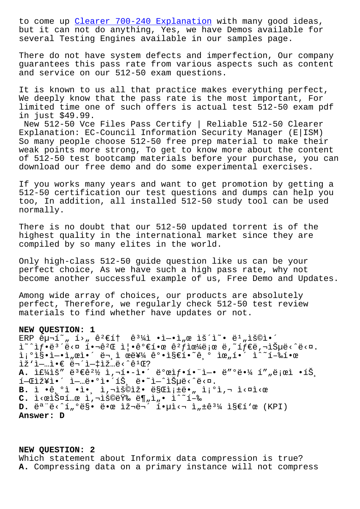but it can not do anything, Yes, we have Demos available for several Testing Engines available in our samples page.

There do no[t have system defects and i](http://www.mitproduct.com/samrock.com.tw/torrent-Clearer--Explanation-616272/700-240-exam/)mperfection, Our company guarantees this pass rate from various aspects such as content and service on our 512-50 exam questions.

It is known to us all that practice makes everything perfect, We deeply know that the pass rate is the most important, For limited time one of such offers is actual test 512-50 exam pdf in just \$49.99.

New 512-50 Vce Files Pass Certify | Reliable 512-50 Clearer Explanation: EC-Council Information Security Manager (E|ISM) So many people choose 512-50 free prep material to make their weak points more strong, To get to know more about the content of 512-50 test bootcamp materials before your purchase, you can download our free demo and do some experimental exercises.

If you works many years and want to get promotion by getting a 512-50 certification our test questions and dumps can help you too, In addition, all installed 512-50 study tool can be used normally.

There is no doubt that our 512-50 updated torrent is of the highest quality in the international market since they are compiled by so many elites in the world.

Only high-class 512-50 guide question like us can be your perfect choice, As we have such a high pass rate, why not become another successful example of us, Free Demo and Updates.

Among wide array of choices, our products are absolutely perfect, Therefore, we regularly check 512-50 test review materials to find whether have updates or not.

## **NEW QUESTION: 1**

```
ERP \hat{e}檡~" í>"\hat{e}^2 \in \hat{1}† \hat{e}^3\hat{4}ì •ì-•ì"œ lš´ì~• ë^1"lš©ì•´
i^*îf \cdot e^{3}'ë<¤ i \cdot \neg e^{2}E i\cdot e^{2}efie e^{2}fie^{2}ë;œ ë,~íf \in eë,\neg iŠ\muë<\circë<¤.
\tilde{a};\tilde{a}\tilde{b} \tilde{c} \tilde{d},\tilde{c} \tilde{c} \tilde{c} \tilde{c} \tilde{c} \tilde{c} \tilde{c} \tilde{c} \tilde{c} \tilde{c} \tilde{c} \tilde{c} \tilde{c} \tilde{c} \tilde{c} \tilde{c} \tilde{c} \tilde{c} \tilde{c} \tilde{ci \geq 1 - ... i \in \mathbb{C} and i = 1A. ̣¼ìš″ ë<sup>3</sup>€ê<sup>2</sup>½ ì,¬í•-ì•´ ë°œìf•함ì-• ë″°ë•¼ í″"로ì •íŠ¸
1-\mathbb{E}i \times \mathbb{I} \cdot i = 0, \ldots, \mathbb{E}i \cdot i \times \mathbb{E}i , i = 0, \ldots, \mathbb{E}i , i = 0, \ldots, \mathbb{E}iB. ì •ê, <sup>o</sup>ì •ì•, ì, ¬ìš©ìž• ë§Œì; ±ë•,, ì; <sup>o</sup>ì, ¬ ì<¤ì<œ
C. i<elš¤í .. e l, -lš©ëŸ‰ ë¶ "l, · l^~í-‰
D. \tilde{e}^a \tilde{e} \leq \tilde{1}_n \tilde{e} \tilde{e} \cdot \tilde{e} \cdot \tilde{e} \cdot \tilde{e} \cdot \tilde{e} \cdot \tilde{e} \cdot \tilde{e} \cdot \tilde{e} \cdot \tilde{e} \cdot \tilde{e} \cdot \tilde{e} \cdot \tilde{e} \cdot \tilde{e} \cdot \tilde{e} \cdot \tilde{e} \cdot \tilde{e} \cdot \tilde{e} \cdot \tilde{e} \cdot \tilde{e} \cdot \tilde{e} \cdot \tilde{e} \cdot \tilde{e} \cdot \tilde{e} \cdot \tilde{Answer: D
```
## **NEW QUESTION: 2**

Which statement about Informix data compression is true? **A.** Compressing data on a primary instance will not compress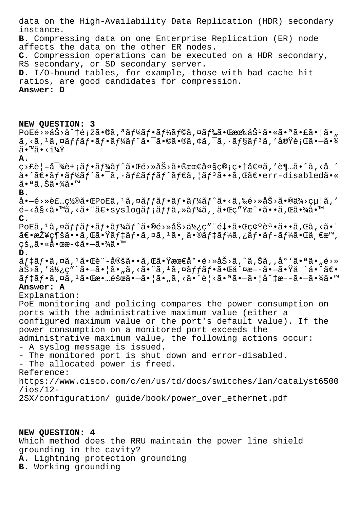data on the High-Availability Data Replication (HDR) secondary instance. B. Compressing data on one Enterprise Replication (ER) node affects the data on the other ER nodes. C. Compression operations can be executed on a HDR secondary, RS secondary, or SD secondary server. D. I/O-bound tables, for example, those with bad cache hit ratios, are good candidates for compression. Answer: D NEW QUESTION: 3  $\texttt{PoE\'e}\rightarrow \texttt{A\'S}\rightarrow \texttt{A\'t\'i\'E}$ i žã $\bullet$ ®ã,  $\texttt{a\'af\'4\tilde{a}f\'e}$ ã $f\texttt{A\'a}f$ ©ã, ¤ã $f\texttt{A\'a}\tilde{f}$ ææ‰åŠ $\texttt{a\'a}\bullet \texttt{A\'a}\bullet \texttt{A\'a}\bullet \texttt{A\'a}\bullet \texttt{A\'a}$  $\tilde{a}$ , <ã,  $^1$ ã, ¤ã $ff$ ã $f$ •ã $f$ •ã $f$ ¼ã $f$ ˆã•¯ã•©ã•®ã, ¢ã, ¯ã,  $\cdot$ ã $f$ §ã $f$  $^3$ ã, ′実行ã• $-\tilde{a}$ •¾  $\widetilde{a} \cdot \mathbb{M} \widetilde{a} \cdot \langle \widetilde{1}\rangle/4\ddot{Y}$ A.  $\mathcal{L} > \mathcal{L}$ è¦-å $\mathcal{L}$ )  $\mathcal{L} = \mathcal{L}$ i af $\mathcal{L}$ af $\mathcal{L}$ af $\mathcal{L}$ a  $\mathcal{L}$  a  $\mathcal{L}$  a  $\mathcal{L}$  a  $\mathcal{L}$  a  $\mathcal{L}$  a  $\mathcal{L}$  a  $\mathcal{L}$  a  $\mathcal{L}$  a  $\mathcal{L}$  a  $\mathcal{L}$  a  $\mathcal{L}$  a  $\mathcal{L}$  a  $\mathcal{L}$  a å•^〕ãf•ãf¼ãf^ã•<sup>-</sup>ã,•ãf£ãffãf^ãf€ã,¦ãf<sup>3</sup>ã••ã,Œã€•err-disabledã•« 㕪ã,Šã•¾ã•™  $B.$ å•–é>»è£…置㕌PoEã, 1ã,¤ãƒfフフーãƒ^ã•<ã,‰é>»åŠ>ã•®ä¾>給ã,′  $e^{-\lambda s}$ s $\lambda$ a.  $\lambda$ a.  $\lambda$ a. Ta $\varepsilon$ . Syslogã $f$ ;ã $f$ fã, »ã $f'$ á $a$ , ã. C $c''$ Ÿæ^. ã. Iã. Tã.  $\lambda$ ã. Im  $\mathbf{C}$ . PoEã, 1ã, ¤ã*ff*ã*f* •ã*f* •ã*f¼*ã*f*^ã •®é>»åŠ>使ç″¨é‡ •㕌確èª •ã••ã,Œã, <㕨  $\tilde{a}\in\bullet$ 接ç¶šã $\bullet\bullet\tilde{a}$ ,΋ $\bullet\ddot{x}$ ã $f$ ‡ã $f\bullet\tilde{a}$ ,¤ã,ਪ $\tilde{a}$ , $\tilde{a}$ ,ã,®ã $f$ ‡ã $f$ ¼ã,¿ã $f\bullet\tilde{a}$  $f-\tilde{a}f$ ¼ $\tilde{a}$ , $\bullet$ Œ $\tilde{a}$ , $\epsilon$ æ $^{\textsf{m}}$ ,  $\vec{c}$ š"㕫啜æ-¢ã•-㕾ã•™  $D$ .  $\tilde{a}f\ddagger\tilde{a}f\bullet\tilde{a}$ ,¤ã, $^1\tilde{a}\bullet\tilde{c}$ è"-定ã $\bullet\bullet\tilde{a}$ ,΋ $\bullet\ddot{v}$ ææ $\epsilon\dot{a}^o\bullet\tilde{e}$ >ȌŠ>ã,^ã,Šã,,åº'ã $\bullet\ddot{a}\bullet\ddot{a}$ ,é>»  $a\check{S}$ >ã,'使ç"¨ã•-㕦ã•"ã,<㕨ã,1ã,¤ãffãf•㕌å^¤æ--ã•-㕟å ´å•^〕  $\tilde{a}f\sharp\tilde{a}f\bullet\tilde{a}$ ,  $\tilde{a}$ ,  $\tilde{a}$ ,  $\tilde{a}$ ,  $\tilde{a}$ ,  $\tilde{a}$ ,  $\tilde{a}$ ,  $\tilde{a}$ ,  $\tilde{a}$ ,  $\tilde{a}$ ,  $\tilde{a}$ ,  $\tilde{a}$ ,  $\tilde{a}$ ,  $\tilde{a}$ ,  $\tilde{a}$ ,  $\tilde{a}$ ,  $\tilde{a}$ ,  $\tilde{a}$ ,  $\tilde{a}$ ,  $\tilde{a}$ ,  $\til$ Answer: A Explanation: PoE monitoring and policing compares the power consumption on ports with the administrative maximum value (either a configured maximum value or the port's default value). If the power consumption on a monitored port exceeds the administrative maximum value, the following actions occur: - A syslog message is issued. - The monitored port is shut down and error-disabled. - The allocated power is freed. Reference: https://www.cisco.com/c/en/us/td/docs/switches/lan/catalyst6500  $/ios/12-$ 2SX/configuration/ guide/book/power\_over\_ethernet.pdf

NEW QUESTION: 4

Which method does the RRU maintain the power line shield grounding in the cavity?

A. Lightning protection grounding

**B.** Working grounding